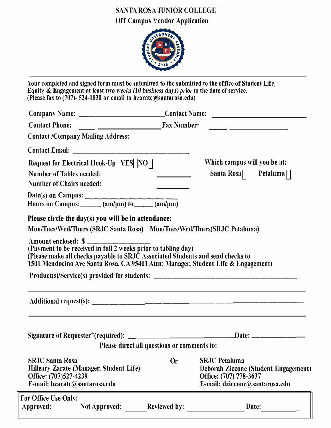## SANTA ROSA JUNIOR COLLEGE Off Campus Vendor Application



|                                                                                                                                                                                                                                             | Company Name: ___________________________Contact Name: __________________________                                                                                                                                                                                         |
|---------------------------------------------------------------------------------------------------------------------------------------------------------------------------------------------------------------------------------------------|---------------------------------------------------------------------------------------------------------------------------------------------------------------------------------------------------------------------------------------------------------------------------|
|                                                                                                                                                                                                                                             |                                                                                                                                                                                                                                                                           |
| <b>Contact /Company Mailing Address:</b>                                                                                                                                                                                                    |                                                                                                                                                                                                                                                                           |
|                                                                                                                                                                                                                                             |                                                                                                                                                                                                                                                                           |
| Request for Electrical Hook-Up YES $NO$                                                                                                                                                                                                     | Which campus will you be at:                                                                                                                                                                                                                                              |
| <b>Number of Tables needed:</b>                                                                                                                                                                                                             | Santa Rosa $\Box$ Petaluma $\Box$<br><u> The Communication of the Communication of the Communication of the Communication of the Communication of the Communication of the Communication of the Communication of the Communication of the Communication of the Commun</u> |
| <b>Number of Chairs needed:</b>                                                                                                                                                                                                             |                                                                                                                                                                                                                                                                           |
| Date(s) on Campus: $\underbrace{\hspace{2cm}(\text{am}/\text{pm})}\overbrace{\text{(am}/\text{pm})}\overbrace{\text{(am}/\text{pm})}$<br>Hours on Campus: $\underbrace{\hspace{2cm}(\text{am}/\text{pm})}\overbrace{\text{(am}/\text{pm})}$ |                                                                                                                                                                                                                                                                           |
|                                                                                                                                                                                                                                             |                                                                                                                                                                                                                                                                           |
| Amount enclosed: \$<br>(Payment to be received in full 2 weeks prior to tabling day)                                                                                                                                                        | (Please make all checks payable to SRJC Associated Students and send checks to<br>1501 Mendocino Ave Santa Rosa, CA 95401 Attn: Manager, Student Life & Engagement)                                                                                                       |
|                                                                                                                                                                                                                                             | Product(s)/Service(s) provided for students: ___________________________________                                                                                                                                                                                          |
|                                                                                                                                                                                                                                             | ,我们也不能在这里的时候,我们也不能在这里的时候,我们也不能会在这里的时候,我们也不能会在这里的时候,我们也不能会在这里的时候,我们也不能会在这里的时候,我们也                                                                                                                                                                                          |
|                                                                                                                                                                                                                                             |                                                                                                                                                                                                                                                                           |
|                                                                                                                                                                                                                                             | .Date: ______                                                                                                                                                                                                                                                             |
|                                                                                                                                                                                                                                             | Please direct all questions or comments to:                                                                                                                                                                                                                               |
| <b>SRJC Santa Rosa</b><br>Hilleary Zarate (Manager, Student Life)<br>Office: (707)527-4239<br>E-mail: hzarate@santarosa.edu                                                                                                                 | <b>SRJC Petaluma</b><br><b>Or</b><br><b>Deborah Ziccone (Student Engagement)</b><br>Office: (707) 778-3637<br>E-mail: dziccone@santarosa.edu                                                                                                                              |
| For Office Use Only:<br>Approved:<br><b>Not Approved:</b>                                                                                                                                                                                   | <b>Reviewed by:</b><br>Date:                                                                                                                                                                                                                                              |